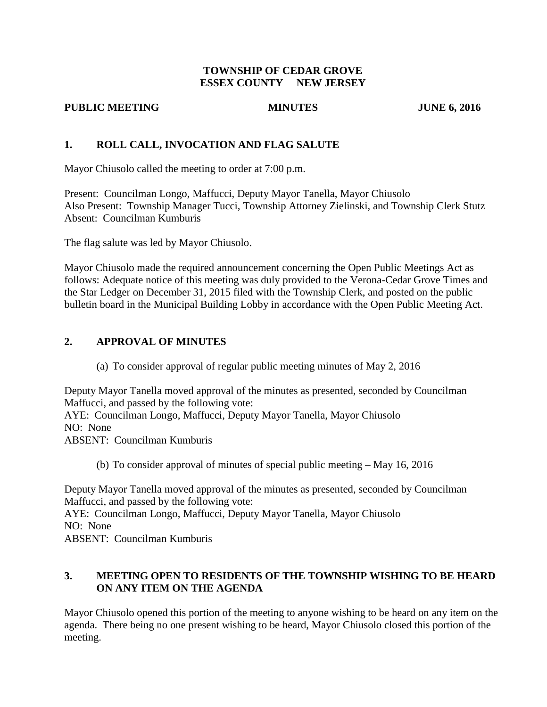### **TOWNSHIP OF CEDAR GROVE ESSEX COUNTY NEW JERSEY**

### **PUBLIC MEETING MINUTES JUNE 6, 2016**

# **1. ROLL CALL, INVOCATION AND FLAG SALUTE**

Mayor Chiusolo called the meeting to order at 7:00 p.m.

Present: Councilman Longo, Maffucci, Deputy Mayor Tanella, Mayor Chiusolo Also Present: Township Manager Tucci, Township Attorney Zielinski, and Township Clerk Stutz Absent: Councilman Kumburis

The flag salute was led by Mayor Chiusolo.

Mayor Chiusolo made the required announcement concerning the Open Public Meetings Act as follows: Adequate notice of this meeting was duly provided to the Verona-Cedar Grove Times and the Star Ledger on December 31, 2015 filed with the Township Clerk, and posted on the public bulletin board in the Municipal Building Lobby in accordance with the Open Public Meeting Act.

# **2. APPROVAL OF MINUTES**

(a) To consider approval of regular public meeting minutes of May 2, 2016

Deputy Mayor Tanella moved approval of the minutes as presented, seconded by Councilman Maffucci, and passed by the following vote:

AYE: Councilman Longo, Maffucci, Deputy Mayor Tanella, Mayor Chiusolo NO: None

ABSENT: Councilman Kumburis

(b) To consider approval of minutes of special public meeting – May 16, 2016

Deputy Mayor Tanella moved approval of the minutes as presented, seconded by Councilman Maffucci, and passed by the following vote:

AYE: Councilman Longo, Maffucci, Deputy Mayor Tanella, Mayor Chiusolo NO: None

ABSENT: Councilman Kumburis

# **3. MEETING OPEN TO RESIDENTS OF THE TOWNSHIP WISHING TO BE HEARD ON ANY ITEM ON THE AGENDA**

Mayor Chiusolo opened this portion of the meeting to anyone wishing to be heard on any item on the agenda. There being no one present wishing to be heard, Mayor Chiusolo closed this portion of the meeting.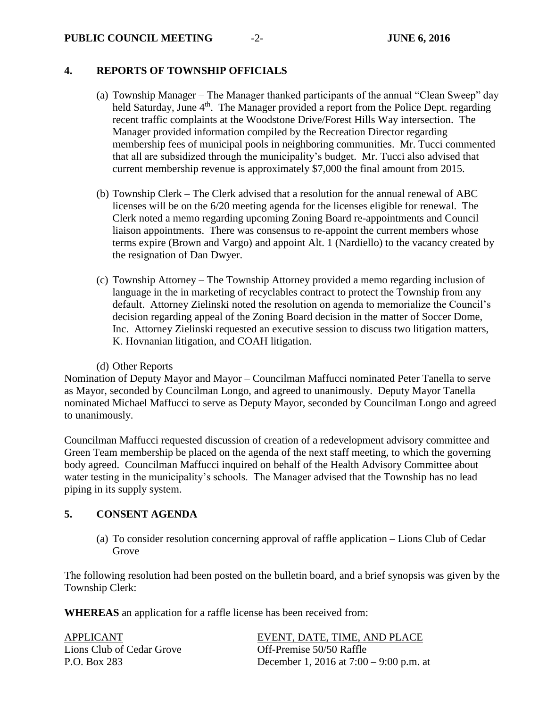### **PUBLIC COUNCIL MEETING** -2- **JUNE 6, 2016**

### **4. REPORTS OF TOWNSHIP OFFICIALS**

- (a) Township Manager The Manager thanked participants of the annual "Clean Sweep" day held Saturday, June 4<sup>th</sup>. The Manager provided a report from the Police Dept. regarding recent traffic complaints at the Woodstone Drive/Forest Hills Way intersection. The Manager provided information compiled by the Recreation Director regarding membership fees of municipal pools in neighboring communities. Mr. Tucci commented that all are subsidized through the municipality's budget. Mr. Tucci also advised that current membership revenue is approximately \$7,000 the final amount from 2015.
- (b) Township Clerk The Clerk advised that a resolution for the annual renewal of ABC licenses will be on the 6/20 meeting agenda for the licenses eligible for renewal. The Clerk noted a memo regarding upcoming Zoning Board re-appointments and Council liaison appointments. There was consensus to re-appoint the current members whose terms expire (Brown and Vargo) and appoint Alt. 1 (Nardiello) to the vacancy created by the resignation of Dan Dwyer.
- (c) Township Attorney The Township Attorney provided a memo regarding inclusion of language in the in marketing of recyclables contract to protect the Township from any default. Attorney Zielinski noted the resolution on agenda to memorialize the Council's decision regarding appeal of the Zoning Board decision in the matter of Soccer Dome, Inc. Attorney Zielinski requested an executive session to discuss two litigation matters, K. Hovnanian litigation, and COAH litigation.

### (d) Other Reports

Nomination of Deputy Mayor and Mayor – Councilman Maffucci nominated Peter Tanella to serve as Mayor, seconded by Councilman Longo, and agreed to unanimously. Deputy Mayor Tanella nominated Michael Maffucci to serve as Deputy Mayor, seconded by Councilman Longo and agreed to unanimously.

Councilman Maffucci requested discussion of creation of a redevelopment advisory committee and Green Team membership be placed on the agenda of the next staff meeting, to which the governing body agreed. Councilman Maffucci inquired on behalf of the Health Advisory Committee about water testing in the municipality's schools. The Manager advised that the Township has no lead piping in its supply system.

### **5. CONSENT AGENDA**

(a) To consider resolution concerning approval of raffle application – Lions Club of Cedar Grove

The following resolution had been posted on the bulletin board, and a brief synopsis was given by the Township Clerk:

**WHEREAS** an application for a raffle license has been received from:

Lions Club of Cedar Grove **Off-Premise 50/50 Raffle** 

APPLICANT EVENT, DATE, TIME, AND PLACE P.O. Box 283 December 1, 2016 at 7:00 – 9:00 p.m. at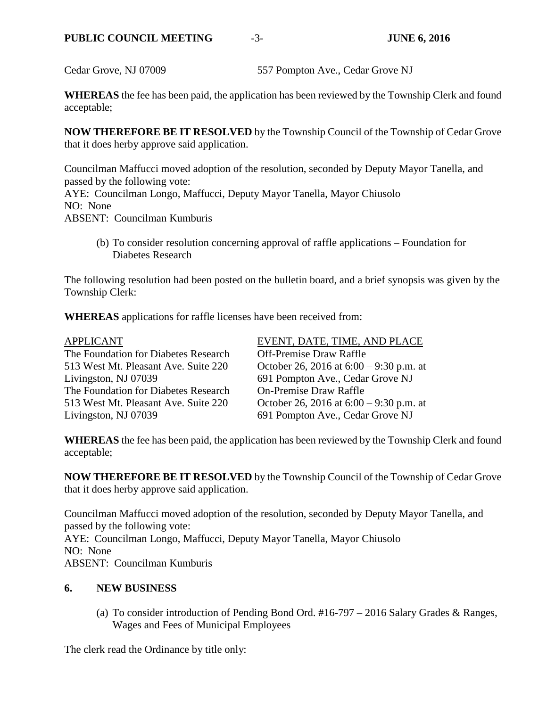Cedar Grove, NJ 07009 557 Pompton Ave., Cedar Grove NJ

**WHEREAS** the fee has been paid, the application has been reviewed by the Township Clerk and found acceptable;

**NOW THEREFORE BE IT RESOLVED** by the Township Council of the Township of Cedar Grove that it does herby approve said application.

Councilman Maffucci moved adoption of the resolution, seconded by Deputy Mayor Tanella, and passed by the following vote: AYE: Councilman Longo, Maffucci, Deputy Mayor Tanella, Mayor Chiusolo NO: None ABSENT: Councilman Kumburis

(b) To consider resolution concerning approval of raffle applications – Foundation for Diabetes Research

The following resolution had been posted on the bulletin board, and a brief synopsis was given by the Township Clerk:

**WHEREAS** applications for raffle licenses have been received from:

| <b>APPLICANT</b>                     | EVENT, DATE, TIME, AND PLACE              |
|--------------------------------------|-------------------------------------------|
| The Foundation for Diabetes Research | <b>Off-Premise Draw Raffle</b>            |
| 513 West Mt. Pleasant Ave. Suite 220 | October 26, 2016 at $6:00 - 9:30$ p.m. at |
| Livingston, NJ 07039                 | 691 Pompton Ave., Cedar Grove NJ          |
| The Foundation for Diabetes Research | <b>On-Premise Draw Raffle</b>             |
| 513 West Mt. Pleasant Ave. Suite 220 | October 26, 2016 at $6:00 - 9:30$ p.m. at |
| Livingston, NJ 07039                 | 691 Pompton Ave., Cedar Grove NJ          |

**WHEREAS** the fee has been paid, the application has been reviewed by the Township Clerk and found acceptable;

**NOW THEREFORE BE IT RESOLVED** by the Township Council of the Township of Cedar Grove that it does herby approve said application.

Councilman Maffucci moved adoption of the resolution, seconded by Deputy Mayor Tanella, and passed by the following vote: AYE: Councilman Longo, Maffucci, Deputy Mayor Tanella, Mayor Chiusolo NO: None ABSENT: Councilman Kumburis

# **6. NEW BUSINESS**

(a) To consider introduction of Pending Bond Ord. #16-797 – 2016 Salary Grades & Ranges, Wages and Fees of Municipal Employees

The clerk read the Ordinance by title only: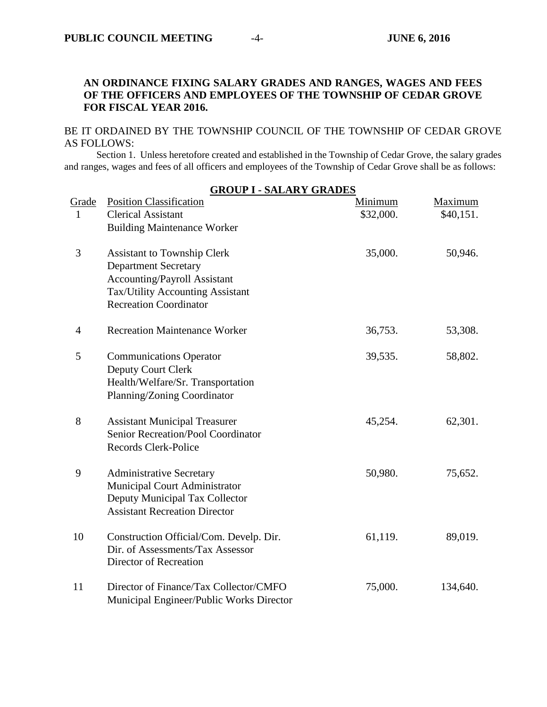# **AN ORDINANCE FIXING SALARY GRADES AND RANGES, WAGES AND FEES OF THE OFFICERS AND EMPLOYEES OF THE TOWNSHIP OF CEDAR GROVE FOR FISCAL YEAR 2016.**

### BE IT ORDAINED BY THE TOWNSHIP COUNCIL OF THE TOWNSHIP OF CEDAR GROVE AS FOLLOWS:

Section 1. Unless heretofore created and established in the Township of Cedar Grove, the salary grades and ranges, wages and fees of all officers and employees of the Township of Cedar Grove shall be as follows:

| <b>GROUP I - SALARY GRADES</b> |                                                                    |           |           |
|--------------------------------|--------------------------------------------------------------------|-----------|-----------|
| Grade                          | <b>Position Classification</b>                                     | Minimum   | Maximum   |
| 1                              | <b>Clerical Assistant</b>                                          | \$32,000. | \$40,151. |
|                                | <b>Building Maintenance Worker</b>                                 |           |           |
| 3                              | <b>Assistant to Township Clerk</b>                                 | 35,000.   | 50,946.   |
|                                | <b>Department Secretary</b><br><b>Accounting/Payroll Assistant</b> |           |           |
|                                | Tax/Utility Accounting Assistant                                   |           |           |
|                                | <b>Recreation Coordinator</b>                                      |           |           |
| 4                              | <b>Recreation Maintenance Worker</b>                               | 36,753.   | 53,308.   |
| 5                              | <b>Communications Operator</b>                                     | 39,535.   | 58,802.   |
|                                | Deputy Court Clerk<br>Health/Welfare/Sr. Transportation            |           |           |
|                                | Planning/Zoning Coordinator                                        |           |           |
|                                |                                                                    |           |           |
| 8                              | <b>Assistant Municipal Treasurer</b>                               | 45,254.   | 62,301.   |
|                                | Senior Recreation/Pool Coordinator                                 |           |           |
|                                | <b>Records Clerk-Police</b>                                        |           |           |
| 9                              | <b>Administrative Secretary</b>                                    | 50,980.   | 75,652.   |
|                                | Municipal Court Administrator                                      |           |           |
|                                | Deputy Municipal Tax Collector                                     |           |           |
|                                | <b>Assistant Recreation Director</b>                               |           |           |
| 10                             | Construction Official/Com. Develp. Dir.                            | 61,119.   | 89,019.   |
|                                | Dir. of Assessments/Tax Assessor                                   |           |           |
|                                | Director of Recreation                                             |           |           |
| 11                             | Director of Finance/Tax Collector/CMFO                             | 75,000.   | 134,640.  |
|                                | Municipal Engineer/Public Works Director                           |           |           |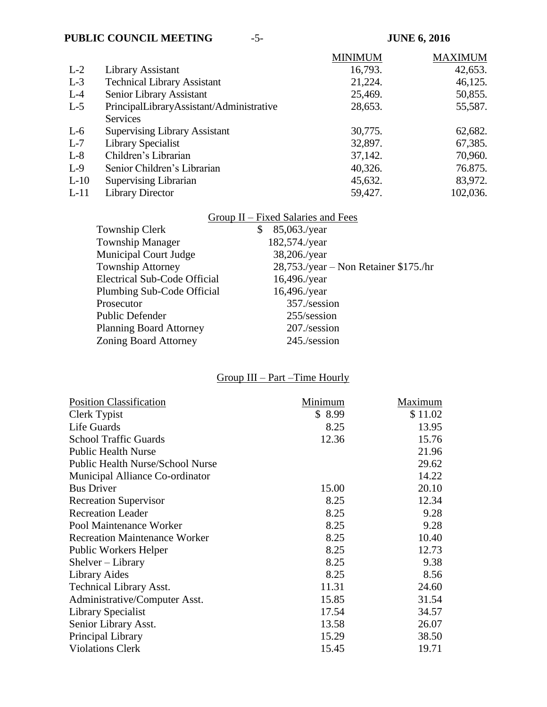# **PUBLIC COUNCIL MEETING**  $-5$ -<br>**JUNE 6, 2016**

|        |                                          | <b>MINIMUM</b> | <b>MAXIMUM</b> |
|--------|------------------------------------------|----------------|----------------|
| $L-2$  | Library Assistant                        | 16,793.        | 42,653.        |
| $L-3$  | <b>Technical Library Assistant</b>       | 21,224.        | 46,125.        |
| $L-4$  | Senior Library Assistant                 | 25,469.        | 50,855.        |
| $L-5$  | PrincipalLibraryAssistant/Administrative | 28,653.        | 55,587.        |
|        | <b>Services</b>                          |                |                |
| $L-6$  | <b>Supervising Library Assistant</b>     | 30,775.        | 62,682.        |
| $L-7$  | Library Specialist                       | 32,897.        | 67,385.        |
| $L-8$  | Children's Librarian                     | 37,142.        | 70,960.        |
| $L-9$  | Senior Children's Librarian              | 40,326.        | 76.875.        |
| $L-10$ | <b>Supervising Librarian</b>             | 45,632.        | 83,972.        |
| $L-11$ | <b>Library Director</b>                  | 59,427.        | 102,036.       |

|                                     | Group II – Fixed Salaries and Fees    |
|-------------------------------------|---------------------------------------|
| Township Clerk                      | 85,063./year                          |
| <b>Township Manager</b>             | 182,574./year                         |
| <b>Municipal Court Judge</b>        | 38,206./year                          |
| <b>Township Attorney</b>            | 28,753./year – Non Retainer \$175./hr |
| <b>Electrical Sub-Code Official</b> | 16,496./year                          |
| Plumbing Sub-Code Official          | 16,496./year                          |
| Prosecutor                          | 357./session                          |
| <b>Public Defender</b>              | 255/session                           |
| <b>Planning Board Attorney</b>      | 207./session                          |
| <b>Zoning Board Attorney</b>        | $245$ ./session                       |
|                                     |                                       |

# Group III – Part –Time Hourly

| <b>Position Classification</b>          | Minimum | Maximum |
|-----------------------------------------|---------|---------|
| Clerk Typist                            | \$8.99  | \$11.02 |
| Life Guards                             | 8.25    | 13.95   |
| <b>School Traffic Guards</b>            | 12.36   | 15.76   |
| <b>Public Health Nurse</b>              |         | 21.96   |
| <b>Public Health Nurse/School Nurse</b> |         | 29.62   |
| Municipal Alliance Co-ordinator         |         | 14.22   |
| <b>Bus Driver</b>                       | 15.00   | 20.10   |
| <b>Recreation Supervisor</b>            | 8.25    | 12.34   |
| <b>Recreation Leader</b>                | 8.25    | 9.28    |
| Pool Maintenance Worker                 | 8.25    | 9.28    |
| <b>Recreation Maintenance Worker</b>    | 8.25    | 10.40   |
| <b>Public Workers Helper</b>            | 8.25    | 12.73   |
| $Shelver-Library$                       | 8.25    | 9.38    |
| Library Aides                           | 8.25    | 8.56    |
| <b>Technical Library Asst.</b>          | 11.31   | 24.60   |
| Administrative/Computer Asst.           | 15.85   | 31.54   |
| Library Specialist                      | 17.54   | 34.57   |
| Senior Library Asst.                    | 13.58   | 26.07   |
| Principal Library                       | 15.29   | 38.50   |
| <b>Violations Clerk</b>                 | 15.45   | 19.71   |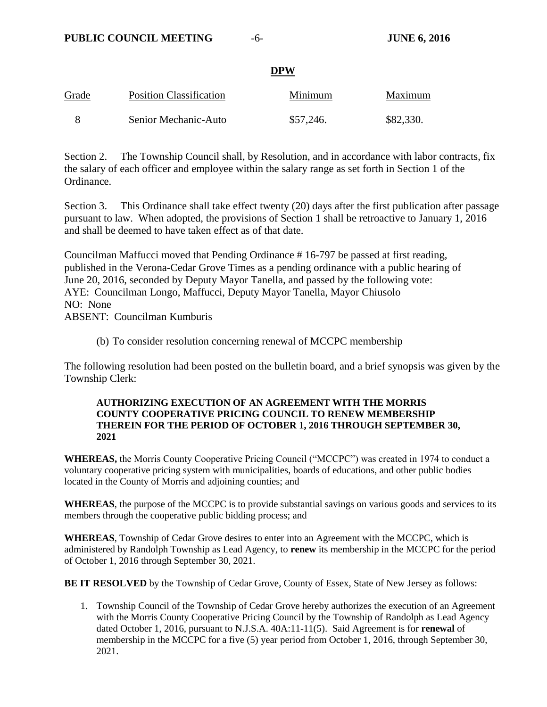### **DPW**

| Grade | <b>Position Classification</b> | Minimum   | Maximum   |
|-------|--------------------------------|-----------|-----------|
|       | Senior Mechanic-Auto           | \$57,246. | \$82,330. |

Section 2. The Township Council shall, by Resolution, and in accordance with labor contracts, fix the salary of each officer and employee within the salary range as set forth in Section 1 of the Ordinance.

Section 3. This Ordinance shall take effect twenty (20) days after the first publication after passage pursuant to law. When adopted, the provisions of Section 1 shall be retroactive to January 1, 2016 and shall be deemed to have taken effect as of that date.

Councilman Maffucci moved that Pending Ordinance # 16-797 be passed at first reading, published in the Verona-Cedar Grove Times as a pending ordinance with a public hearing of June 20, 2016, seconded by Deputy Mayor Tanella, and passed by the following vote: AYE: Councilman Longo, Maffucci, Deputy Mayor Tanella, Mayor Chiusolo NO: None ABSENT: Councilman Kumburis

(b) To consider resolution concerning renewal of MCCPC membership

The following resolution had been posted on the bulletin board, and a brief synopsis was given by the Township Clerk:

### **AUTHORIZING EXECUTION OF AN AGREEMENT WITH THE MORRIS COUNTY COOPERATIVE PRICING COUNCIL TO RENEW MEMBERSHIP THEREIN FOR THE PERIOD OF OCTOBER 1, 2016 THROUGH SEPTEMBER 30, 2021**

**WHEREAS,** the Morris County Cooperative Pricing Council ("MCCPC") was created in 1974 to conduct a voluntary cooperative pricing system with municipalities, boards of educations, and other public bodies located in the County of Morris and adjoining counties; and

**WHEREAS**, the purpose of the MCCPC is to provide substantial savings on various goods and services to its members through the cooperative public bidding process; and

**WHEREAS**, Township of Cedar Grove desires to enter into an Agreement with the MCCPC, which is administered by Randolph Township as Lead Agency, to **renew** its membership in the MCCPC for the period of October 1, 2016 through September 30, 2021.

**BE IT RESOLVED** by the Township of Cedar Grove, County of Essex, State of New Jersey as follows:

1. Township Council of the Township of Cedar Grove hereby authorizes the execution of an Agreement with the Morris County Cooperative Pricing Council by the Township of Randolph as Lead Agency dated October 1, 2016, pursuant to N.J.S.A. 40A:11-11(5). Said Agreement is for **renewal** of membership in the MCCPC for a five (5) year period from October 1, 2016, through September 30, 2021.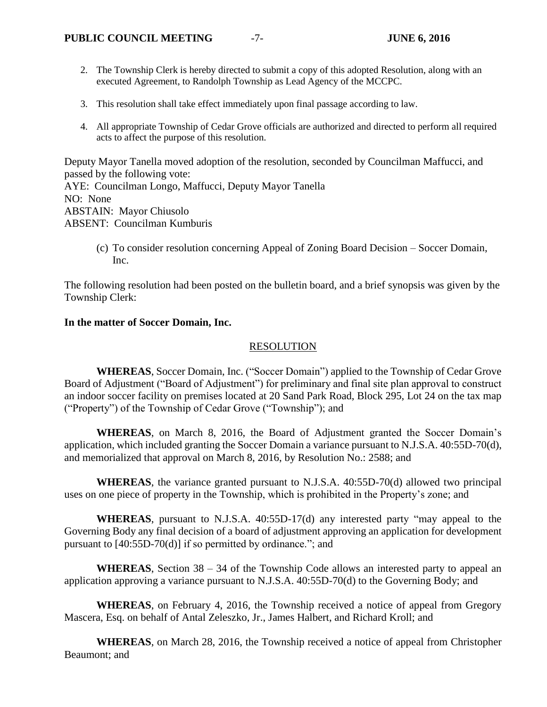- 2. The Township Clerk is hereby directed to submit a copy of this adopted Resolution, along with an executed Agreement, to Randolph Township as Lead Agency of the MCCPC.
- 3. This resolution shall take effect immediately upon final passage according to law.
- 4. All appropriate Township of Cedar Grove officials are authorized and directed to perform all required acts to affect the purpose of this resolution.

Deputy Mayor Tanella moved adoption of the resolution, seconded by Councilman Maffucci, and passed by the following vote:

AYE: Councilman Longo, Maffucci, Deputy Mayor Tanella NO: None ABSTAIN: Mayor Chiusolo ABSENT: Councilman Kumburis

> (c) To consider resolution concerning Appeal of Zoning Board Decision – Soccer Domain, Inc.

The following resolution had been posted on the bulletin board, and a brief synopsis was given by the Township Clerk:

### **In the matter of Soccer Domain, Inc.**

### RESOLUTION

**WHEREAS**, Soccer Domain, Inc. ("Soccer Domain") applied to the Township of Cedar Grove Board of Adjustment ("Board of Adjustment") for preliminary and final site plan approval to construct an indoor soccer facility on premises located at 20 Sand Park Road, Block 295, Lot 24 on the tax map ("Property") of the Township of Cedar Grove ("Township"); and

**WHEREAS**, on March 8, 2016, the Board of Adjustment granted the Soccer Domain's application, which included granting the Soccer Domain a variance pursuant to N.J.S.A. 40:55D-70(d), and memorialized that approval on March 8, 2016, by Resolution No.: 2588; and

**WHEREAS**, the variance granted pursuant to N.J.S.A. 40:55D-70(d) allowed two principal uses on one piece of property in the Township, which is prohibited in the Property's zone; and

**WHEREAS**, pursuant to N.J.S.A. 40:55D-17(d) any interested party "may appeal to the Governing Body any final decision of a board of adjustment approving an application for development pursuant to [40:55D-70(d)] if so permitted by ordinance."; and

**WHEREAS**, Section 38 – 34 of the Township Code allows an interested party to appeal an application approving a variance pursuant to N.J.S.A. 40:55D-70(d) to the Governing Body; and

**WHEREAS**, on February 4, 2016, the Township received a notice of appeal from Gregory Mascera, Esq. on behalf of Antal Zeleszko, Jr., James Halbert, and Richard Kroll; and

**WHEREAS**, on March 28, 2016, the Township received a notice of appeal from Christopher Beaumont; and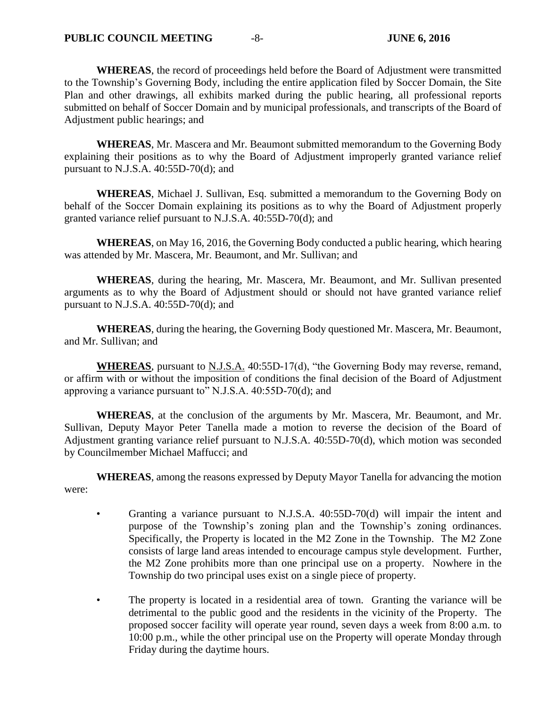**WHEREAS**, the record of proceedings held before the Board of Adjustment were transmitted to the Township's Governing Body, including the entire application filed by Soccer Domain, the Site Plan and other drawings, all exhibits marked during the public hearing, all professional reports submitted on behalf of Soccer Domain and by municipal professionals, and transcripts of the Board of Adjustment public hearings; and

**WHEREAS**, Mr. Mascera and Mr. Beaumont submitted memorandum to the Governing Body explaining their positions as to why the Board of Adjustment improperly granted variance relief pursuant to N.J.S.A. 40:55D-70(d); and

**WHEREAS**, Michael J. Sullivan, Esq. submitted a memorandum to the Governing Body on behalf of the Soccer Domain explaining its positions as to why the Board of Adjustment properly granted variance relief pursuant to N.J.S.A. 40:55D-70(d); and

**WHEREAS**, on May 16, 2016, the Governing Body conducted a public hearing, which hearing was attended by Mr. Mascera, Mr. Beaumont, and Mr. Sullivan; and

**WHEREAS**, during the hearing, Mr. Mascera, Mr. Beaumont, and Mr. Sullivan presented arguments as to why the Board of Adjustment should or should not have granted variance relief pursuant to N.J.S.A. 40:55D-70(d); and

**WHEREAS**, during the hearing, the Governing Body questioned Mr. Mascera, Mr. Beaumont, and Mr. Sullivan; and

**WHEREAS**, pursuant to N.J.S.A. 40:55D-17(d), "the Governing Body may reverse, remand, or affirm with or without the imposition of conditions the final decision of the Board of Adjustment approving a variance pursuant to" N.J.S.A. 40:55D-70(d); and

**WHEREAS**, at the conclusion of the arguments by Mr. Mascera, Mr. Beaumont, and Mr. Sullivan, Deputy Mayor Peter Tanella made a motion to reverse the decision of the Board of Adjustment granting variance relief pursuant to N.J.S.A. 40:55D-70(d), which motion was seconded by Councilmember Michael Maffucci; and

**WHEREAS**, among the reasons expressed by Deputy Mayor Tanella for advancing the motion were:

- Granting a variance pursuant to N.J.S.A. 40:55D-70(d) will impair the intent and purpose of the Township's zoning plan and the Township's zoning ordinances. Specifically, the Property is located in the M2 Zone in the Township. The M2 Zone consists of large land areas intended to encourage campus style development. Further, the M2 Zone prohibits more than one principal use on a property. Nowhere in the Township do two principal uses exist on a single piece of property.
- The property is located in a residential area of town. Granting the variance will be detrimental to the public good and the residents in the vicinity of the Property. The proposed soccer facility will operate year round, seven days a week from 8:00 a.m. to 10:00 p.m., while the other principal use on the Property will operate Monday through Friday during the daytime hours.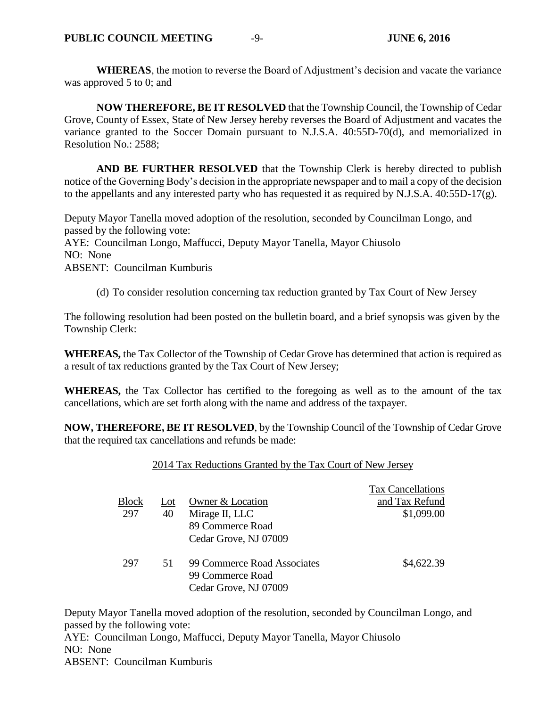**WHEREAS**, the motion to reverse the Board of Adjustment's decision and vacate the variance was approved 5 to 0; and

**NOW THEREFORE, BE IT RESOLVED** that the Township Council, the Township of Cedar Grove, County of Essex, State of New Jersey hereby reverses the Board of Adjustment and vacates the variance granted to the Soccer Domain pursuant to N.J.S.A. 40:55D-70(d), and memorialized in Resolution No.: 2588;

**AND BE FURTHER RESOLVED** that the Township Clerk is hereby directed to publish notice of the Governing Body's decision in the appropriate newspaper and to mail a copy of the decision to the appellants and any interested party who has requested it as required by N.J.S.A. 40:55D-17(g).

Deputy Mayor Tanella moved adoption of the resolution, seconded by Councilman Longo, and passed by the following vote: AYE: Councilman Longo, Maffucci, Deputy Mayor Tanella, Mayor Chiusolo

NO: None

ABSENT: Councilman Kumburis

(d) To consider resolution concerning tax reduction granted by Tax Court of New Jersey

The following resolution had been posted on the bulletin board, and a brief synopsis was given by the Township Clerk:

**WHEREAS,** the Tax Collector of the Township of Cedar Grove has determined that action is required as a result of tax reductions granted by the Tax Court of New Jersey;

**WHEREAS,** the Tax Collector has certified to the foregoing as well as to the amount of the tax cancellations, which are set forth along with the name and address of the taxpayer.

**NOW, THEREFORE, BE IT RESOLVED**, by the Township Council of the Township of Cedar Grove that the required tax cancellations and refunds be made:

### 2014 Tax Reductions Granted by the Tax Court of New Jersey

|              |     |                                                 | <b>Tax Cancellations</b> |
|--------------|-----|-------------------------------------------------|--------------------------|
| <b>Block</b> | Lot | Owner & Location                                | and Tax Refund           |
| 297          | 40  | Mirage II, LLC                                  | \$1,099.00               |
|              |     | 89 Commerce Road                                |                          |
|              |     | Cedar Grove, NJ 07009                           |                          |
| 297          | 51  | 99 Commerce Road Associates<br>99 Commerce Road | \$4,622.39               |
|              |     | Cedar Grove, NJ 07009                           |                          |

Deputy Mayor Tanella moved adoption of the resolution, seconded by Councilman Longo, and passed by the following vote:

AYE: Councilman Longo, Maffucci, Deputy Mayor Tanella, Mayor Chiusolo NO: None ABSENT: Councilman Kumburis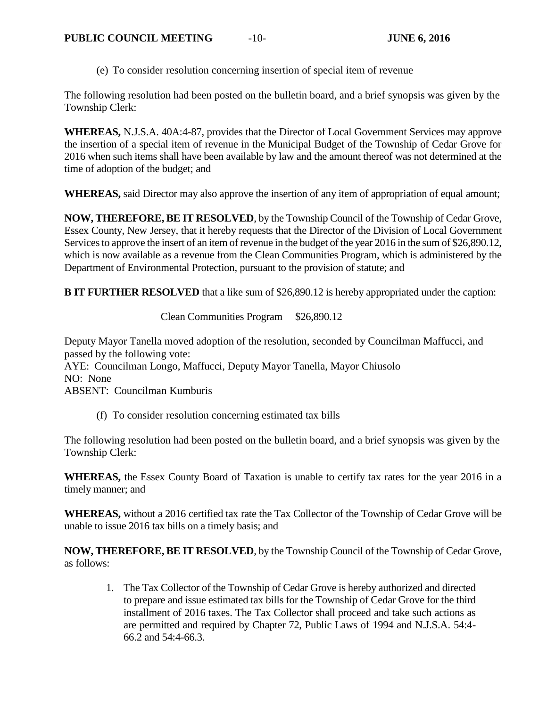(e) To consider resolution concerning insertion of special item of revenue

The following resolution had been posted on the bulletin board, and a brief synopsis was given by the Township Clerk:

**WHEREAS,** N.J.S.A. 40A:4-87, provides that the Director of Local Government Services may approve the insertion of a special item of revenue in the Municipal Budget of the Township of Cedar Grove for 2016 when such items shall have been available by law and the amount thereof was not determined at the time of adoption of the budget; and

**WHEREAS,** said Director may also approve the insertion of any item of appropriation of equal amount;

**NOW, THEREFORE, BE IT RESOLVED**, by the Township Council of the Township of Cedar Grove, Essex County, New Jersey, that it hereby requests that the Director of the Division of Local Government Services to approve the insert of an item of revenue in the budget of the year 2016 in the sum of \$26,890.12, which is now available as a revenue from the Clean Communities Program, which is administered by the Department of Environmental Protection, pursuant to the provision of statute; and

**B IT FURTHER RESOLVED** that a like sum of \$26,890.12 is hereby appropriated under the caption:

Clean Communities Program \$26,890.12

Deputy Mayor Tanella moved adoption of the resolution, seconded by Councilman Maffucci, and passed by the following vote: AYE: Councilman Longo, Maffucci, Deputy Mayor Tanella, Mayor Chiusolo NO: None ABSENT: Councilman Kumburis

(f) To consider resolution concerning estimated tax bills

The following resolution had been posted on the bulletin board, and a brief synopsis was given by the Township Clerk:

**WHEREAS,** the Essex County Board of Taxation is unable to certify tax rates for the year 2016 in a timely manner; and

**WHEREAS,** without a 2016 certified tax rate the Tax Collector of the Township of Cedar Grove will be unable to issue 2016 tax bills on a timely basis; and

**NOW, THEREFORE, BE IT RESOLVED**, by the Township Council of the Township of Cedar Grove, as follows:

1. The Tax Collector of the Township of Cedar Grove is hereby authorized and directed to prepare and issue estimated tax bills for the Township of Cedar Grove for the third installment of 2016 taxes. The Tax Collector shall proceed and take such actions as are permitted and required by Chapter 72, Public Laws of 1994 and N.J.S.A. 54:4- 66.2 and 54:4-66.3.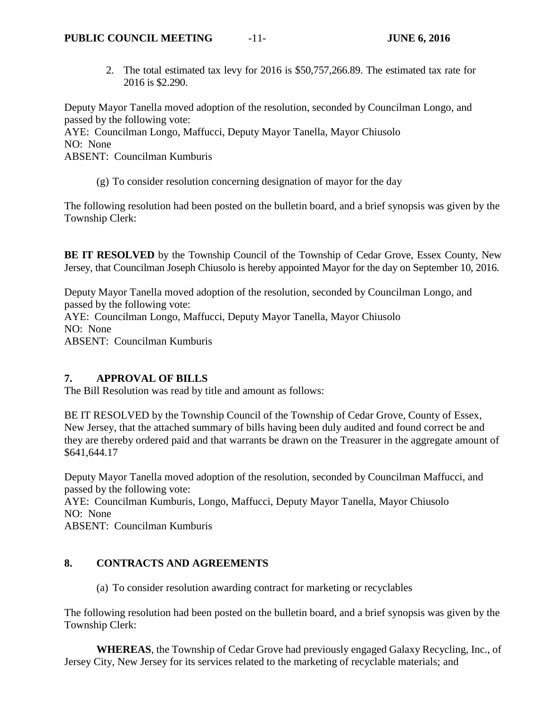2. The total estimated tax levy for 2016 is \$50,757,266.89. The estimated tax rate for 2016 is \$2.290.

Deputy Mayor Tanella moved adoption of the resolution, seconded by Councilman Longo, and passed by the following vote:

AYE: Councilman Longo, Maffucci, Deputy Mayor Tanella, Mayor Chiusolo NO: None

ABSENT: Councilman Kumburis

(g) To consider resolution concerning designation of mayor for the day

The following resolution had been posted on the bulletin board, and a brief synopsis was given by the Township Clerk:

**BE IT RESOLVED** by the Township Council of the Township of Cedar Grove, Essex County, New Jersey, that Councilman Joseph Chiusolo is hereby appointed Mayor for the day on September 10, 2016.

Deputy Mayor Tanella moved adoption of the resolution, seconded by Councilman Longo, and passed by the following vote: AYE: Councilman Longo, Maffucci, Deputy Mayor Tanella, Mayor Chiusolo NO: None ABSENT: Councilman Kumburis

# **7. APPROVAL OF BILLS**

The Bill Resolution was read by title and amount as follows:

BE IT RESOLVED by the Township Council of the Township of Cedar Grove, County of Essex, New Jersey, that the attached summary of bills having been duly audited and found correct be and they are thereby ordered paid and that warrants be drawn on the Treasurer in the aggregate amount of \$641,644.17

Deputy Mayor Tanella moved adoption of the resolution, seconded by Councilman Maffucci, and passed by the following vote:

AYE: Councilman Kumburis, Longo, Maffucci, Deputy Mayor Tanella, Mayor Chiusolo NO: None

ABSENT: Councilman Kumburis

# **8. CONTRACTS AND AGREEMENTS**

(a) To consider resolution awarding contract for marketing or recyclables

The following resolution had been posted on the bulletin board, and a brief synopsis was given by the Township Clerk:

**WHEREAS**, the Township of Cedar Grove had previously engaged Galaxy Recycling, Inc., of Jersey City, New Jersey for its services related to the marketing of recyclable materials; and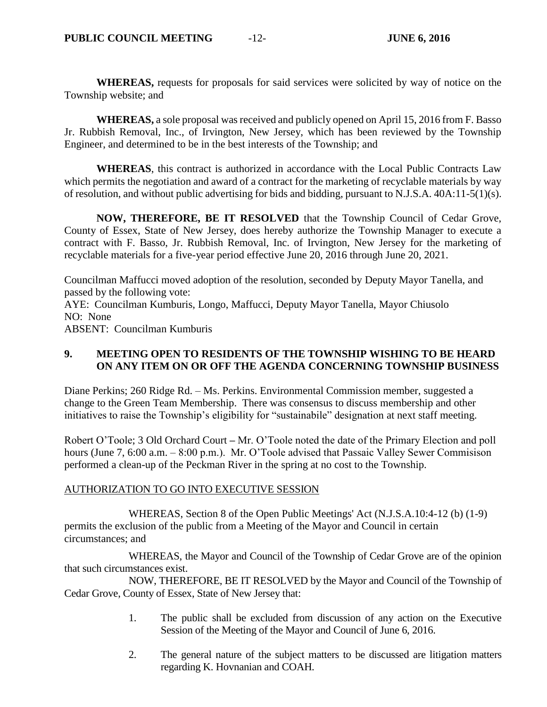**WHEREAS,** requests for proposals for said services were solicited by way of notice on the Township website; and

**WHEREAS,** a sole proposal was received and publicly opened on April 15, 2016 from F. Basso Jr. Rubbish Removal, Inc., of Irvington, New Jersey, which has been reviewed by the Township Engineer, and determined to be in the best interests of the Township; and

**WHEREAS**, this contract is authorized in accordance with the Local Public Contracts Law which permits the negotiation and award of a contract for the marketing of recyclable materials by way of resolution, and without public advertising for bids and bidding, pursuant to N.J.S.A. 40A:11-5(1)(s).

**NOW, THEREFORE, BE IT RESOLVED** that the Township Council of Cedar Grove, County of Essex, State of New Jersey, does hereby authorize the Township Manager to execute a contract with F. Basso, Jr. Rubbish Removal, Inc. of Irvington, New Jersey for the marketing of recyclable materials for a five-year period effective June 20, 2016 through June 20, 2021.

Councilman Maffucci moved adoption of the resolution, seconded by Deputy Mayor Tanella, and passed by the following vote:

AYE: Councilman Kumburis, Longo, Maffucci, Deputy Mayor Tanella, Mayor Chiusolo NO: None

ABSENT: Councilman Kumburis

## **9. MEETING OPEN TO RESIDENTS OF THE TOWNSHIP WISHING TO BE HEARD ON ANY ITEM ON OR OFF THE AGENDA CONCERNING TOWNSHIP BUSINESS**

Diane Perkins; 260 Ridge Rd. – Ms. Perkins. Environmental Commission member, suggested a change to the Green Team Membership. There was consensus to discuss membership and other initiatives to raise the Township's eligibility for "sustainabile" designation at next staff meeting.

Robert O'Toole; 3 Old Orchard Court **–** Mr. O'Toole noted the date of the Primary Election and poll hours (June 7, 6:00 a.m. – 8:00 p.m.). Mr. O'Toole advised that Passaic Valley Sewer Commisison performed a clean-up of the Peckman River in the spring at no cost to the Township.

### AUTHORIZATION TO GO INTO EXECUTIVE SESSION

WHEREAS, Section 8 of the Open Public Meetings' Act (N.J.S.A.10:4-12 (b) (1-9) permits the exclusion of the public from a Meeting of the Mayor and Council in certain circumstances; and

WHEREAS, the Mayor and Council of the Township of Cedar Grove are of the opinion that such circumstances exist.

NOW, THEREFORE, BE IT RESOLVED by the Mayor and Council of the Township of Cedar Grove, County of Essex, State of New Jersey that:

- 1. The public shall be excluded from discussion of any action on the Executive Session of the Meeting of the Mayor and Council of June 6, 2016.
- 2. The general nature of the subject matters to be discussed are litigation matters regarding K. Hovnanian and COAH.